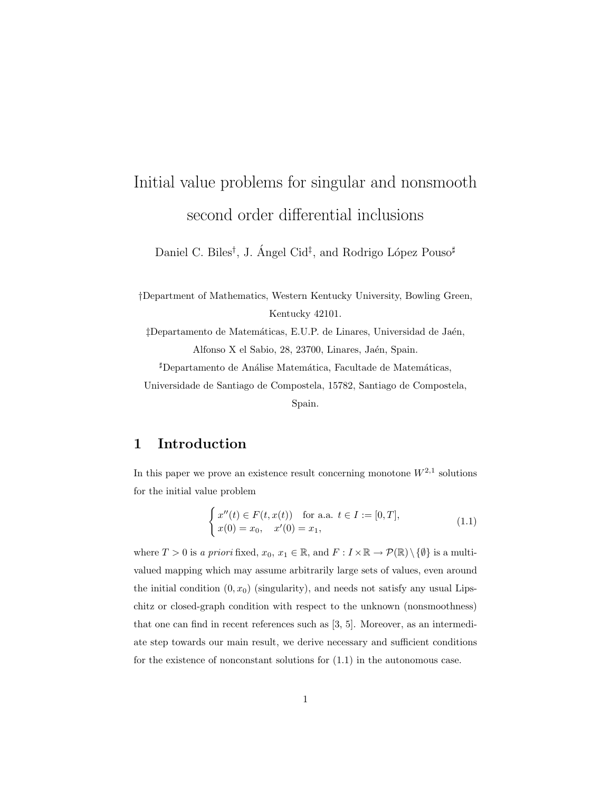# Initial value problems for singular and nonsmooth second order differential inclusions

Daniel C. Biles<sup>†</sup>, J. Ángel Cid<sup>‡</sup>, and Rodrigo López Pouso<sup>#</sup>

†Department of Mathematics, Western Kentucky University, Bowling Green, Kentucky 42101.

 $\ddagger$ Departamento de Matemáticas, E.U.P. de Linares, Universidad de Jaén, Alfonso X el Sabio, 28, 23700, Linares, Jaén, Spain.

<sup>#</sup>Departamento de Análise Matemática, Facultade de Matemáticas,

Universidade de Santiago de Compostela, 15782, Santiago de Compostela,

Spain.

## 1 Introduction

In this paper we prove an existence result concerning monotone  $W^{2,1}$  solutions for the initial value problem

$$
\begin{cases}\nx''(t) \in F(t, x(t)) & \text{for a.a. } t \in I := [0, T], \\
x(0) = x_0, \quad x'(0) = x_1,\n\end{cases}
$$
\n(1.1)

where  $T > 0$  is a priori fixed,  $x_0, x_1 \in \mathbb{R}$ , and  $F: I \times \mathbb{R} \to \mathcal{P}(\mathbb{R}) \setminus \{0\}$  is a multivalued mapping which may assume arbitrarily large sets of values, even around the initial condition  $(0, x_0)$  (singularity), and needs not satisfy any usual Lipschitz or closed-graph condition with respect to the unknown (nonsmoothness) that one can find in recent references such as [3, 5]. Moreover, as an intermediate step towards our main result, we derive necessary and sufficient conditions for the existence of nonconstant solutions for (1.1) in the autonomous case.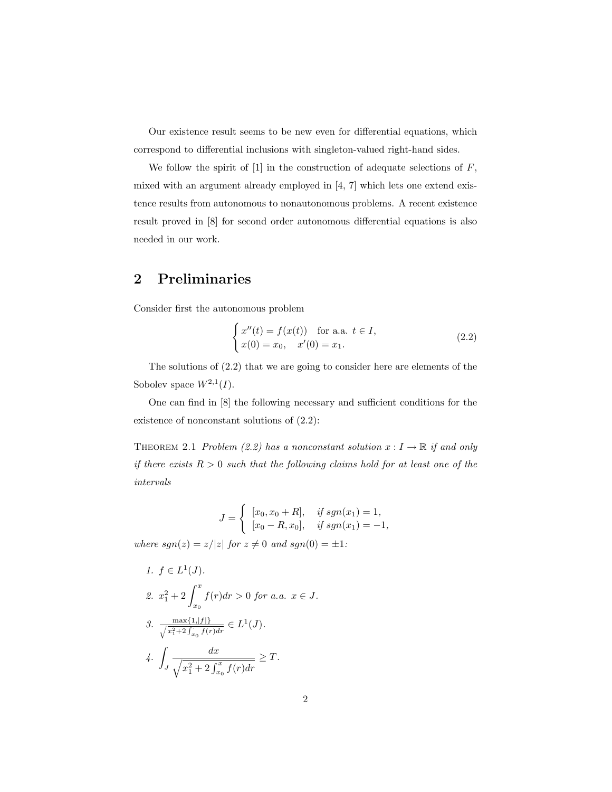Our existence result seems to be new even for differential equations, which correspond to differential inclusions with singleton-valued right-hand sides.

We follow the spirit of  $[1]$  in the construction of adequate selections of  $F$ , mixed with an argument already employed in [4, 7] which lets one extend existence results from autonomous to nonautonomous problems. A recent existence result proved in [8] for second order autonomous differential equations is also needed in our work.

## 2 Preliminaries

Consider first the autonomous problem

$$
\begin{cases}\nx''(t) = f(x(t)) & \text{for a.a. } t \in I, \\
x(0) = x_0, \quad x'(0) = x_1.\n\end{cases}
$$
\n(2.2)

The solutions of (2.2) that we are going to consider here are elements of the Sobolev space  $W^{2,1}(I)$ .

One can find in [8] the following necessary and sufficient conditions for the existence of nonconstant solutions of (2.2):

THEOREM 2.1 Problem (2.2) has a nonconstant solution  $x: I \to \mathbb{R}$  if and only if there exists  $R > 0$  such that the following claims hold for at least one of the intervals

$$
J = \begin{cases} [x_0, x_0 + R], & \text{if } sgn(x_1) = 1, \\ [x_0 - R, x_0], & \text{if } sgn(x_1) = -1, \end{cases}
$$

where  $sgn(z) = z/|z|$  for  $z \neq 0$  and  $sgn(0) = \pm 1$ :

1. 
$$
f \in L^1(J)
$$
.  
\n2.  $x_1^2 + 2 \int_{x_0}^x f(r) dr > 0$  for a.a.  $x \in J$ .  
\n3. 
$$
\frac{\max\{1, |f|\}}{\sqrt{x_1^2 + 2 \int_{x_0}^x f(r) dr}} \in L^1(J)
$$
.  
\n4. 
$$
\int_J \frac{dx}{\sqrt{x_1^2 + 2 \int_{x_0}^x f(r) dr}} \geq T.
$$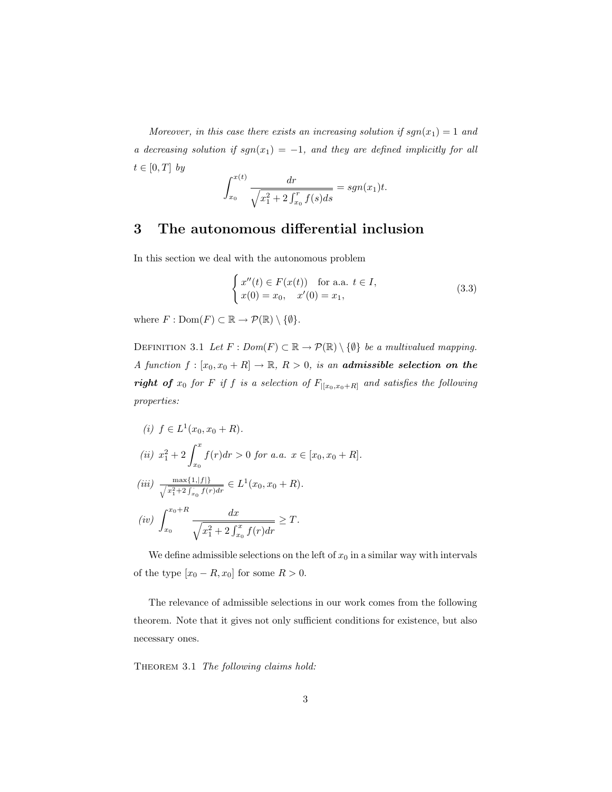Moreover, in this case there exists an increasing solution if  $sgn(x_1) = 1$  and a decreasing solution if  $sgn(x_1) = -1$ , and they are defined implicitly for all  $t \in [0, T]$  by

$$
\int_{x_0}^{x(t)} \frac{dr}{\sqrt{x_1^2 + 2 \int_{x_0}^r f(s) ds}} = sgn(x_1)t.
$$

### 3 The autonomous differential inclusion

In this section we deal with the autonomous problem

$$
\begin{cases}\nx''(t) \in F(x(t)) & \text{for a.a. } t \in I, \\
x(0) = x_0, \quad x'(0) = x_1,\n\end{cases}
$$
\n(3.3)

where  $F: \text{Dom}(F) \subset \mathbb{R} \to \mathcal{P}(\mathbb{R}) \setminus \{\emptyset\}.$ 

DEFINITION 3.1 Let  $F: Dom(F) \subset \mathbb{R} \to \mathcal{P}(\mathbb{R}) \setminus \{\emptyset\}$  be a multivalued mapping. A function  $f : [x_0, x_0 + R] \to \mathbb{R}$ ,  $R > 0$ , is an **admissible selection on the right of**  $x_0$  for  $F$  if  $f$  is a selection of  $F_{|[x_0,x_0+R]}$  and satisfies the following properties:

(i) 
$$
f \in L^1(x_0, x_0 + R)
$$
.  
\n(ii)  $x_1^2 + 2 \int_{x_0}^x f(r) dr > 0$  for a.a.  $x \in [x_0, x_0 + R]$ .  
\n(iii)  $\frac{\max\{1, |f|\}}{\sqrt{x_1^2 + 2 \int_{x_0}^x f(r) dr}} \in L^1(x_0, x_0 + R)$ .  
\n(iv)  $\int_{x_0}^{x_0 + R} \frac{dx}{\sqrt{x_1^2 + 2 \int_{x_0}^x f(r) dr}} \geq T$ .

We define admissible selections on the left of  $x_0$  in a similar way with intervals of the type  $[x_0 - R, x_0]$  for some  $R > 0$ .

The relevance of admissible selections in our work comes from the following theorem. Note that it gives not only sufficient conditions for existence, but also necessary ones.

THEOREM 3.1 The following claims hold: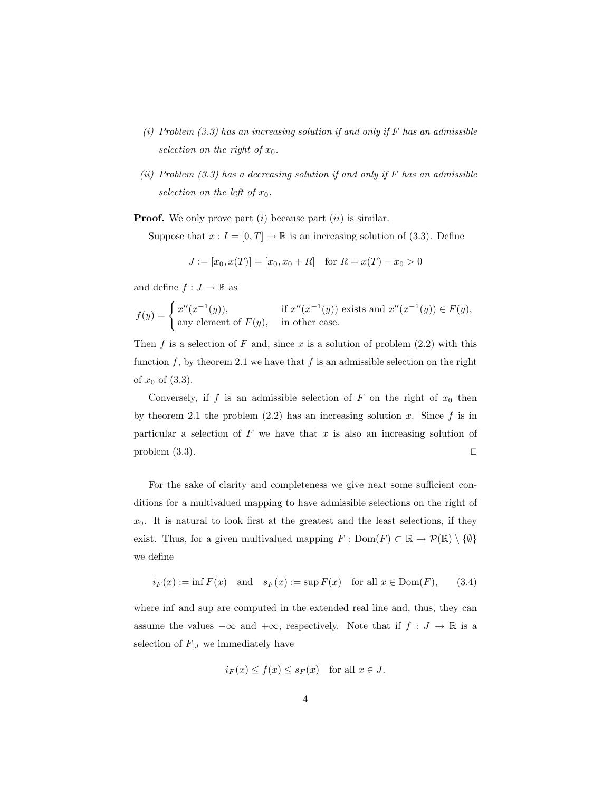- (i) Problem  $(3.3)$  has an increasing solution if and only if F has an admissible selection on the right of  $x_0$ .
- (ii) Problem  $(3.3)$  has a decreasing solution if and only if F has an admissible selection on the left of  $x_0$ .

**Proof.** We only prove part  $(i)$  because part  $(ii)$  is similar.

Suppose that  $x : I = [0, T] \to \mathbb{R}$  is an increasing solution of (3.3). Define

$$
J := [x_0, x(T)] = [x_0, x_0 + R] \text{ for } R = x(T) - x_0 > 0
$$

and define  $f: J \to \mathbb{R}$  as

$$
f(y) = \begin{cases} x''(x^{-1}(y)), & \text{if } x''(x^{-1}(y)) \text{ exists and } x''(x^{-1}(y)) \in F(y), \\ \text{any element of } F(y), & \text{in other case.} \end{cases}
$$

Then f is a selection of F and, since x is a solution of problem  $(2.2)$  with this function f, by theorem 2.1 we have that f is an admissible selection on the right of  $x_0$  of  $(3.3)$ .

Conversely, if f is an admissible selection of F on the right of  $x_0$  then by theorem 2.1 the problem  $(2.2)$  has an increasing solution x. Since f is in particular a selection of  $F$  we have that  $x$  is also an increasing solution of problem  $(3.3)$ .

For the sake of clarity and completeness we give next some sufficient conditions for a multivalued mapping to have admissible selections on the right of  $x_0$ . It is natural to look first at the greatest and the least selections, if they exist. Thus, for a given multivalued mapping  $F : Dom(F) \subset \mathbb{R} \to \mathcal{P}(\mathbb{R}) \setminus \{\emptyset\}$ we define

$$
i_F(x) := \inf F(x)
$$
 and  $s_F(x) := \sup F(x)$  for all  $x \in \text{Dom}(F)$ , (3.4)

where inf and sup are computed in the extended real line and, thus, they can assume the values  $-\infty$  and  $+\infty$ , respectively. Note that if  $f : J \to \mathbb{R}$  is a selection of  $F_{|J}$  we immediately have

$$
i_F(x) \le f(x) \le s_F(x)
$$
 for all  $x \in J$ .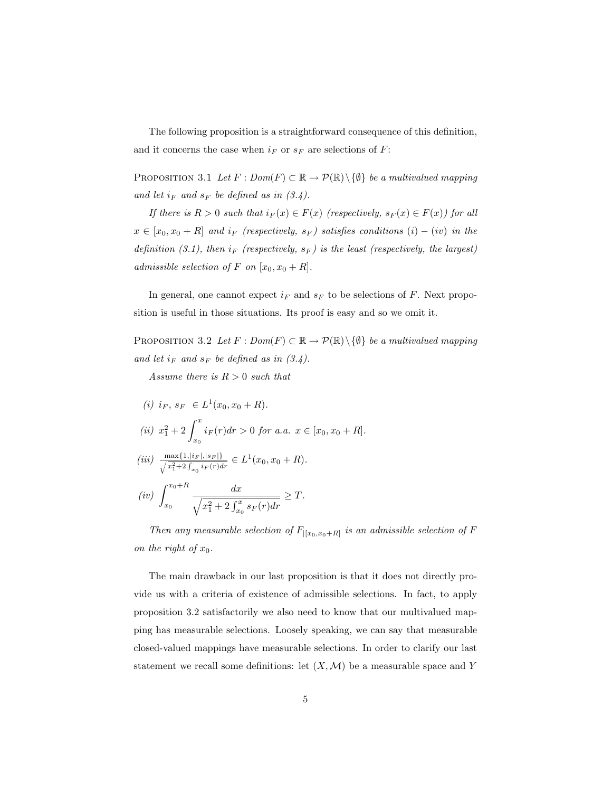The following proposition is a straightforward consequence of this definition, and it concerns the case when  $i_F$  or  $s_F$  are selections of  $F$ :

PROPOSITION 3.1 Let  $F: Dom(F) \subset \mathbb{R} \to \mathcal{P}(\mathbb{R}) \setminus \{\emptyset\}$  be a multivalued mapping and let  $i_F$  and  $s_F$  be defined as in  $(3.4)$ .

If there is  $R > 0$  such that  $i_F(x) \in F(x)$  (respectively,  $s_F(x) \in F(x)$ ) for all  $x \in [x_0, x_0 + R]$  and  $i_F$  (respectively,  $s_F$ ) satisfies conditions  $(i) - (iv)$  in the definition (3.1), then  $i_F$  (respectively,  $s_F$ ) is the least (respectively, the largest) admissible selection of F on  $[x_0, x_0 + R]$ .

In general, one cannot expect  $i_F$  and  $s_F$  to be selections of F. Next proposition is useful in those situations. Its proof is easy and so we omit it.

PROPOSITION 3.2 Let  $F: Dom(F) \subset \mathbb{R} \to \mathcal{P}(\mathbb{R}) \setminus \{\emptyset\}$  be a multivalued mapping and let  $i_F$  and  $s_F$  be defined as in  $(3.4)$ .

Assume there is  $R > 0$  such that

(i) 
$$
i_F
$$
,  $s_F \in L^1(x_0, x_0 + R)$ .  
\n(ii)  $x_1^2 + 2 \int_{x_0}^x i_F(r) dr > 0$  for a.a.  $x \in [x_0, x_0 + R]$ .  
\n(iii)  $\frac{\max\{1, |i_F|, |s_F|\}}{\sqrt{x_1^2 + 2 \int_{x_0}^x i_F(r) dr}} \in L^1(x_0, x_0 + R)$ .

$$
(iv) \int_{x_0}^{x_0+R} \frac{dx}{\sqrt{x_1^2 + 2 \int_{x_0}^x s_F(r) dr}} \ge T.
$$

Then any measurable selection of  $F_{|[x_0,x_0+R]}$  is an admissible selection of F on the right of  $x_0$ .

The main drawback in our last proposition is that it does not directly provide us with a criteria of existence of admissible selections. In fact, to apply proposition 3.2 satisfactorily we also need to know that our multivalued mapping has measurable selections. Loosely speaking, we can say that measurable closed-valued mappings have measurable selections. In order to clarify our last statement we recall some definitions: let  $(X, \mathcal{M})$  be a measurable space and Y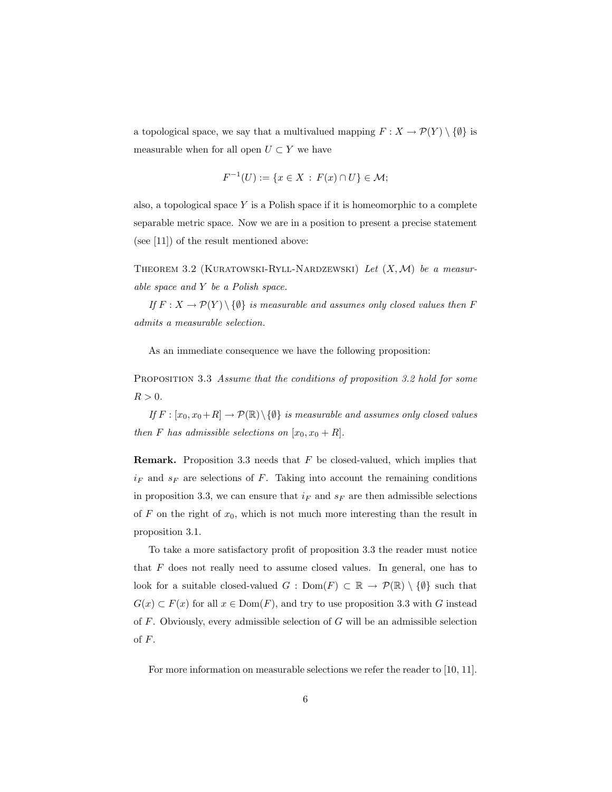a topological space, we say that a multivalued mapping  $F: X \to \mathcal{P}(Y) \setminus \{\emptyset\}$  is measurable when for all open  $U \subset Y$  we have

$$
F^{-1}(U) := \{ x \in X : F(x) \cap U \} \in \mathcal{M};
$$

also, a topological space  $Y$  is a Polish space if it is homeomorphic to a complete separable metric space. Now we are in a position to present a precise statement (see [11]) of the result mentioned above:

THEOREM 3.2 (KURATOWSKI-RYLL-NARDZEWSKI) Let  $(X, \mathcal{M})$  be a measurable space and Y be a Polish space.

If  $F: X \to \mathcal{P}(Y) \setminus \{\emptyset\}$  is measurable and assumes only closed values then F admits a measurable selection.

As an immediate consequence we have the following proposition:

PROPOSITION 3.3 Assume that the conditions of proposition 3.2 hold for some  $R > 0$ .

If  $F : [x_0, x_0 + R] \to \mathcal{P}(\mathbb{R}) \setminus \{ \emptyset \}$  is measurable and assumes only closed values then F has admissible selections on  $[x_0, x_0 + R]$ .

**Remark.** Proposition 3.3 needs that  $F$  be closed-valued, which implies that  $i_F$  and  $s_F$  are selections of F. Taking into account the remaining conditions in proposition 3.3, we can ensure that  $i_F$  and  $s_F$  are then admissible selections of F on the right of  $x_0$ , which is not much more interesting than the result in proposition 3.1.

To take a more satisfactory profit of proposition 3.3 the reader must notice that  $F$  does not really need to assume closed values. In general, one has to look for a suitable closed-valued  $G : Dom(F) \subset \mathbb{R} \to \mathcal{P}(\mathbb{R}) \setminus \{\emptyset\}$  such that  $G(x) \subset F(x)$  for all  $x \in \text{Dom}(F)$ , and try to use proposition 3.3 with G instead of  $F$ . Obviously, every admissible selection of  $G$  will be an admissible selection of F.

For more information on measurable selections we refer the reader to [10, 11].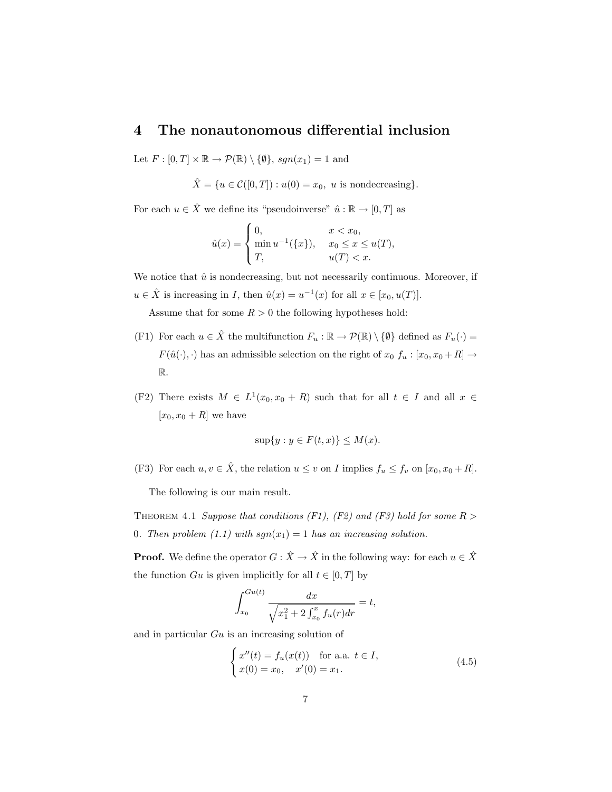#### 4 The nonautonomous differential inclusion

Let  $F : [0, T] \times \mathbb{R} \to \mathcal{P}(\mathbb{R}) \setminus \{\emptyset\}, sgn(x_1) = 1$  and

 $\hat{X} = \{u \in \mathcal{C}([0,T]) : u(0) = x_0, u \text{ is nondecreasing}\}.$ 

For each  $u \in \hat{X}$  we define its "pseudoinverse"  $\hat{u} : \mathbb{R} \to [0, T]$  as

$$
\hat{u}(x) = \begin{cases} 0, & x < x_0, \\ \min u^{-1}(\{x\}), & x_0 \le x \le u(T), \\ T, & u(T) < x. \end{cases}
$$

We notice that  $\hat{u}$  is nondecreasing, but not necessarily continuous. Moreover, if  $u \in \hat{X}$  is increasing in *I*, then  $\hat{u}(x) = u^{-1}(x)$  for all  $x \in [x_0, u(T)]$ .

Assume that for some  $R > 0$  the following hypotheses hold:

- (F1) For each  $u \in \hat{X}$  the multifunction  $F_u : \mathbb{R} \to \mathcal{P}(\mathbb{R}) \setminus \{\emptyset\}$  defined as  $F_u(\cdot) =$  $F(\hat{u}(\cdot), \cdot)$  has an admissible selection on the right of  $x_0$   $f_u : [x_0, x_0 + R] \rightarrow$ R.
- (F2) There exists  $M \in L^1(x_0, x_0 + R)$  such that for all  $t \in I$  and all  $x \in$  $[x_0, x_0 + R]$  we have

$$
\sup\{y : y \in F(t, x)\} \le M(x).
$$

(F3) For each  $u, v \in \hat{X}$ , the relation  $u \leq v$  on I implies  $f_u \leq f_v$  on  $[x_0, x_0 + R]$ .

The following is our main result.

THEOREM 4.1 Suppose that conditions (F1), (F2) and (F3) hold for some  $R >$ 0. Then problem (1.1) with  $sgn(x_1) = 1$  has an increasing solution.

**Proof.** We define the operator  $G: \hat{X} \to \hat{X}$  in the following way: for each  $u \in \hat{X}$ the function Gu is given implicitly for all  $t \in [0, T]$  by

$$
\int_{x_0}^{Gu(t)} \frac{dx}{\sqrt{x_1^2 + 2 \int_{x_0}^x f_u(r) dr}} = t,
$$

and in particular Gu is an increasing solution of

$$
\begin{cases}\nx''(t) = f_u(x(t)) & \text{for a.a. } t \in I, \\
x(0) = x_0, \quad x'(0) = x_1.\n\end{cases}
$$
\n(4.5)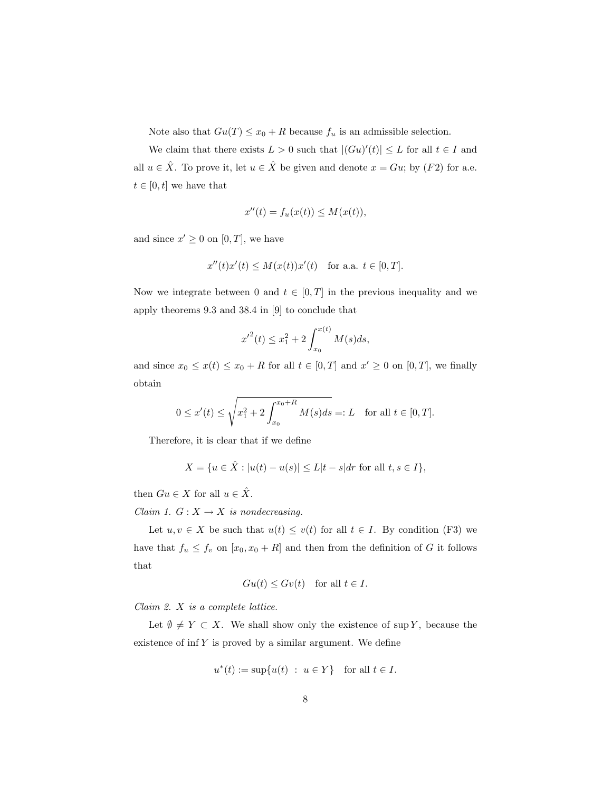Note also that  $Gu(T) \le x_0 + R$  because  $f_u$  is an admissible selection.

We claim that there exists  $L > 0$  such that  $|(Gu)'(t)| \leq L$  for all  $t \in I$  and all  $u \in \hat{X}$ . To prove it, let  $u \in \hat{X}$  be given and denote  $x = Gu$ ; by  $(F2)$  for a.e.  $t \in [0, t]$  we have that

$$
x''(t) = f_u(x(t)) \le M(x(t)),
$$

and since  $x' \geq 0$  on  $[0, T]$ , we have

$$
x''(t)x'(t) \le M(x(t))x'(t) \quad \text{for a.a. } t \in [0, T].
$$

Now we integrate between 0 and  $t \in [0, T]$  in the previous inequality and we apply theorems 9.3 and 38.4 in [9] to conclude that

$$
{x'}^{2}(t) \le x_{1}^{2} + 2 \int_{x_{0}}^{x(t)} M(s)ds,
$$

and since  $x_0 \leq x(t) \leq x_0 + R$  for all  $t \in [0, T]$  and  $x' \geq 0$  on  $[0, T]$ , we finally obtain

$$
0 \le x'(t) \le \sqrt{x_1^2 + 2 \int_{x_0}^{x_0 + R} M(s) ds} =: L
$$
 for all  $t \in [0, T]$ .

Therefore, it is clear that if we define

$$
X = \{ u \in \hat{X} : |u(t) - u(s)| \le L|t - s| dr \text{ for all } t, s \in I \},\
$$

then  $Gu \in X$  for all  $u \in \hat{X}$ .

Claim 1.  $G: X \to X$  is nondecreasing.

Let  $u, v \in X$  be such that  $u(t) \leq v(t)$  for all  $t \in I$ . By condition (F3) we have that  $f_u \leq f_v$  on  $[x_0, x_0 + R]$  and then from the definition of G it follows that

$$
Gu(t) \leq Gv(t) \quad \text{for all } t \in I.
$$

Claim 2. X is a complete lattice.

Let  $\emptyset \neq Y \subset X$ . We shall show only the existence of sup Y, because the existence of  $\inf Y$  is proved by a similar argument. We define

$$
u^*(t) := \sup\{u(t) : u \in Y\} \quad \text{for all } t \in I.
$$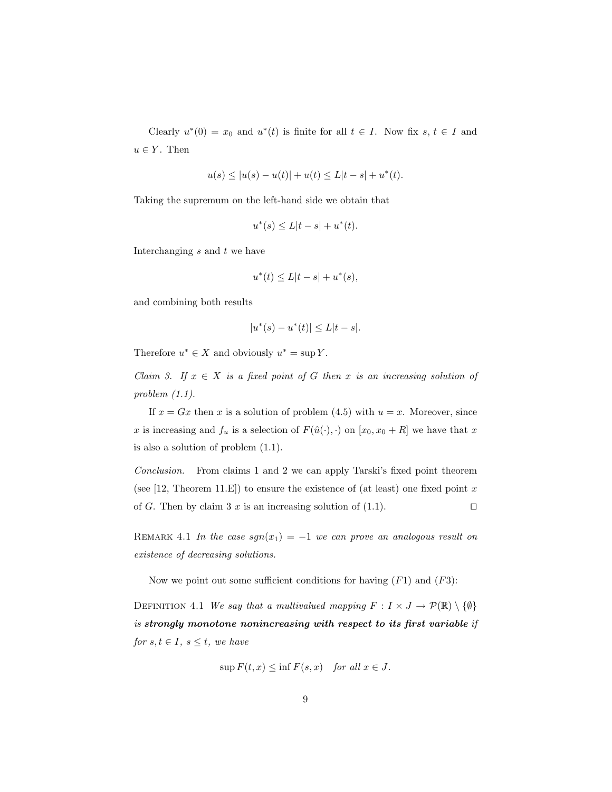Clearly  $u^*(0) = x_0$  and  $u^*(t)$  is finite for all  $t \in I$ . Now fix  $s, t \in I$  and  $u \in Y$ . Then

$$
u(s) \le |u(s) - u(t)| + u(t) \le L|t - s| + u^*(t).
$$

Taking the supremum on the left-hand side we obtain that

$$
u^*(s) \le L|t - s| + u^*(t).
$$

Interchanging  $s$  and  $t$  we have

$$
u^*(t) \le L|t - s| + u^*(s),
$$

and combining both results

$$
|u^*(s) - u^*(t)| \le L|t - s|.
$$

Therefore  $u^* \in X$  and obviously  $u^* = \sup Y$ .

Claim 3. If  $x \in X$  is a fixed point of G then x is an increasing solution of problem (1.1).

If  $x = Gx$  then x is a solution of problem (4.5) with  $u = x$ . Moreover, since x is increasing and  $f_u$  is a selection of  $F(\hat{u}(\cdot), \cdot)$  on  $[x_0, x_0 + R]$  we have that x is also a solution of problem (1.1).

Conclusion. From claims 1 and 2 we can apply Tarski's fixed point theorem (see [12, Theorem 11.E]) to ensure the existence of (at least) one fixed point  $x$ of G. Then by claim 3 x is an increasing solution of (1.1).  $\Box$ 

REMARK 4.1 In the case  $sgn(x_1) = -1$  we can prove an analogous result on existence of decreasing solutions.

Now we point out some sufficient conditions for having  $(F1)$  and  $(F3)$ :

DEFINITION 4.1 We say that a multivalued mapping  $F: I \times J \to \mathcal{P}(\mathbb{R}) \setminus \{\emptyset\}$ is strongly monotone nonincreasing with respect to its first variable if for  $s, t \in I$ ,  $s \leq t$ , we have

$$
\sup F(t, x) \le \inf F(s, x) \quad for all x \in J.
$$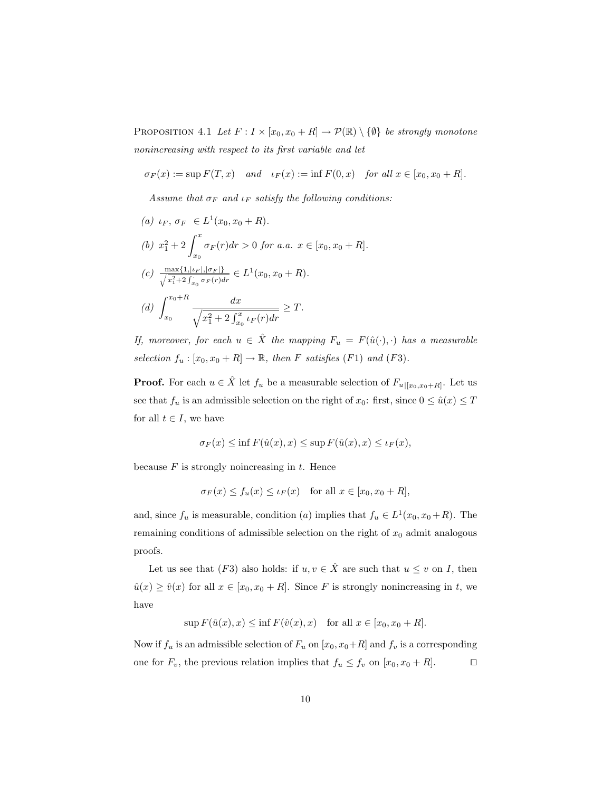PROPOSITION 4.1 Let  $F: I \times [x_0, x_0 + R] \to \mathcal{P}(\mathbb{R}) \setminus \{\emptyset\}$  be strongly monotone nonincreasing with respect to its first variable and let

$$
\sigma_F(x) := \sup F(T, x) \quad and \quad \iota_F(x) := \inf F(0, x) \quad \text{for all } x \in [x_0, x_0 + R].
$$

Assume that  $\sigma_F$  and  $\iota_F$  satisfy the following conditions:

(a) 
$$
\iota_F
$$
,  $\sigma_F \in L^1(x_0, x_0 + R)$ .  
\n(b)  $x_1^2 + 2 \int_{x_0}^x \sigma_F(r) dr > 0$  for a.a.  $x \in [x_0, x_0 + R]$ .  
\n(c)  $\frac{\max\{1, |\iota_F|, |\sigma_F|\}}{\sqrt{x_1^2 + 2 \int_{x_0}^x \sigma_F(r) dr}} \in L^1(x_0, x_0 + R)$ .  
\n(d)  $\int_{x_0}^{x_0 + R} \frac{dx}{\sqrt{x_1^2 + 2 \int_{x_0}^x \iota_F(r) dr}} \geq T$ .

If, moreover, for each  $u \in \hat{X}$  the mapping  $F_u = F(\hat{u}(\cdot), \cdot)$  has a measurable selection  $f_u : [x_0, x_0 + R] \to \mathbb{R}$ , then F satisfies (F1) and (F3).

**Proof.** For each  $u \in \hat{X}$  let  $f_u$  be a measurable selection of  $F_{u|[x_0,x_0+R]}$ . Let us see that  $f_u$  is an admissible selection on the right of  $x_0$ : first, since  $0 \le \hat{u}(x) \le T$ for all  $t \in I$ , we have

$$
\sigma_F(x) \le \inf F(\hat{u}(x), x) \le \sup F(\hat{u}(x), x) \le \iota_F(x),
$$

because  $F$  is strongly noincreasing in  $t$ . Hence

$$
\sigma_F(x) \le f_u(x) \le \iota_F(x) \quad \text{for all } x \in [x_0, x_0 + R],
$$

and, since  $f_u$  is measurable, condition (a) implies that  $f_u \in L^1(x_0, x_0 + R)$ . The remaining conditions of admissible selection on the right of  $x_0$  admit analogous proofs.

Let us see that (F3) also holds: if  $u, v \in \hat{X}$  are such that  $u \leq v$  on I, then  $\hat{u}(x) \geq \hat{v}(x)$  for all  $x \in [x_0, x_0 + R]$ . Since F is strongly nonincreasing in t, we have

$$
\sup F(\hat{u}(x),x) \le \inf F(\hat{v}(x),x) \quad \text{for all } x \in [x_0, x_0 + R].
$$

Now if  $f_u$  is an admissible selection of  $F_u$  on  $[x_0, x_0+R]$  and  $f_v$  is a corresponding one for  $F_v$ , the previous relation implies that  $f_u \leq f_v$  on  $[x_0, x_0 + R]$ .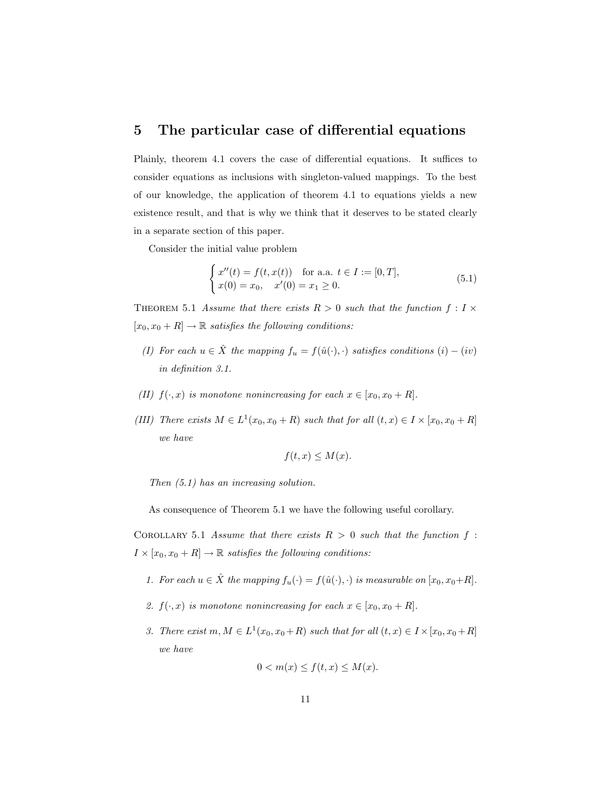#### 5 The particular case of differential equations

Plainly, theorem 4.1 covers the case of differential equations. It suffices to consider equations as inclusions with singleton-valued mappings. To the best of our knowledge, the application of theorem 4.1 to equations yields a new existence result, and that is why we think that it deserves to be stated clearly in a separate section of this paper.

Consider the initial value problem

$$
\begin{cases}\nx''(t) = f(t, x(t)) & \text{for a.a. } t \in I := [0, T], \\
x(0) = x_0, \quad x'(0) = x_1 \ge 0.\n\end{cases}
$$
\n(5.1)

THEOREM 5.1 Assume that there exists  $R > 0$  such that the function  $f: I \times$  $[x_0, x_0 + R] \rightarrow \mathbb{R}$  satisfies the following conditions:

- (I) For each  $u \in \hat{X}$  the mapping  $f_u = f(\hat{u}(\cdot), \cdot)$  satisfies conditions  $(i) (iv)$ in definition 3.1.
- (II)  $f(\cdot, x)$  is monotone nonincreasing for each  $x \in [x_0, x_0 + R]$ .
- (III) There exists  $M \in L^1(x_0, x_0 + R)$  such that for all  $(t, x) \in I \times [x_0, x_0 + R]$ we have

$$
f(t, x) \le M(x).
$$

Then (5.1) has an increasing solution.

As consequence of Theorem 5.1 we have the following useful corollary.

COROLLARY 5.1 Assume that there exists  $R > 0$  such that the function f:  $I \times [x_0, x_0 + R] \rightarrow \mathbb{R}$  satisfies the following conditions:

- 1. For each  $u \in \hat{X}$  the mapping  $f_u(\cdot) = f(\hat{u}(\cdot), \cdot)$  is measurable on  $[x_0, x_0 + R]$ .
- 2.  $f(\cdot, x)$  is monotone nonincreasing for each  $x \in [x_0, x_0 + R]$ .
- 3. There exist  $m, M \in L^1(x_0, x_0 + R)$  such that for all  $(t, x) \in I \times [x_0, x_0 + R]$ we have

$$
0 < m(x) \le f(t, x) \le M(x).
$$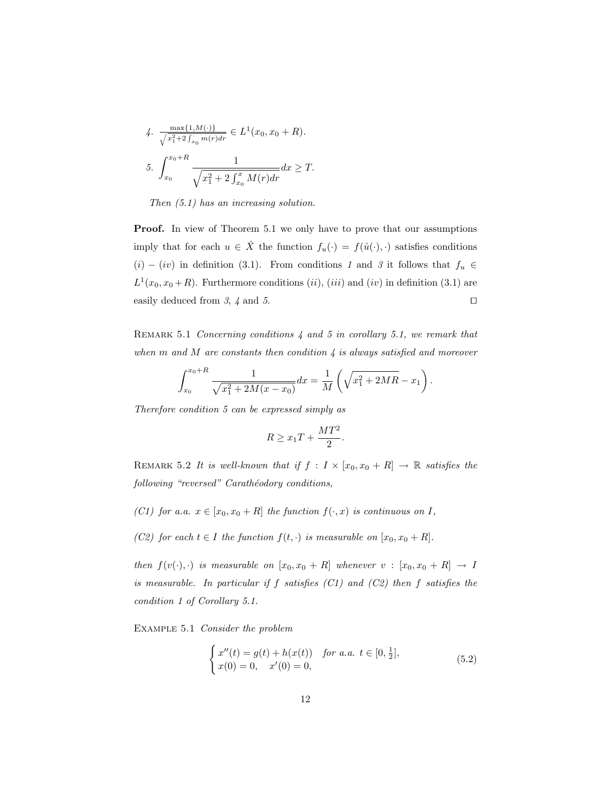4. 
$$
\frac{\max\{1, M(\cdot)\}}{\sqrt{x_1^2 + 2 \int_{x_0}^{\cdot} m(r) dr}} \in L^1(x_0, x_0 + R).
$$
  
5. 
$$
\int_{x_0}^{x_0 + R} \frac{1}{\sqrt{x_1^2 + 2 \int_{x_0}^x M(r) dr}} dx \ge T.
$$

Then (5.1) has an increasing solution.

Proof. In view of Theorem 5.1 we only have to prove that our assumptions imply that for each  $u \in \hat{X}$  the function  $f_u(\cdot) = f(\hat{u}(\cdot), \cdot)$  satisfies conditions  $(i)$  −  $(iv)$  in definition (3.1). From conditions 1 and 3 it follows that  $f_u$  ∈  $L^1(x_0, x_0 + R)$ . Furthermore conditions (ii), (iii) and (iv) in definition (3.1) are easily deduced from  $3, 4$  and  $5.$ 

REMARK 5.1 Concerning conditions 4 and 5 in corollary 5.1, we remark that when  $m$  and  $M$  are constants then condition  $\lambda$  is always satisfied and moreover

$$
\int_{x_0}^{x_0+R} \frac{1}{\sqrt{x_1^2 + 2M(x - x_0)}} dx = \frac{1}{M} \left( \sqrt{x_1^2 + 2MR} - x_1 \right).
$$

Therefore condition 5 can be expressed simply as

$$
R \ge x_1 T + \frac{MT^2}{2}.
$$

REMARK 5.2 It is well-known that if  $f : I \times [x_0, x_0 + R] \rightarrow \mathbb{R}$  satisfies the following "reversed" Carathéodory conditions,

- (C1) for a.a.  $x \in [x_0, x_0 + R]$  the function  $f(\cdot, x)$  is continuous on I,
- (C2) for each  $t \in I$  the function  $f(t, \cdot)$  is measurable on  $[x_0, x_0 + R]$ .

then  $f(v(\cdot), \cdot)$  is measurable on  $[x_0, x_0 + R]$  whenever  $v : [x_0, x_0 + R] \rightarrow I$ is measurable. In particular if  $f$  satisfies  $(C1)$  and  $(C2)$  then  $f$  satisfies the condition 1 of Corollary 5.1.

Example 5.1 Consider the problem

$$
\begin{cases}\nx''(t) = g(t) + h(x(t)) & \text{for a.a. } t \in [0, \frac{1}{2}], \\
x(0) = 0, & x'(0) = 0,\n\end{cases}
$$
\n(5.2)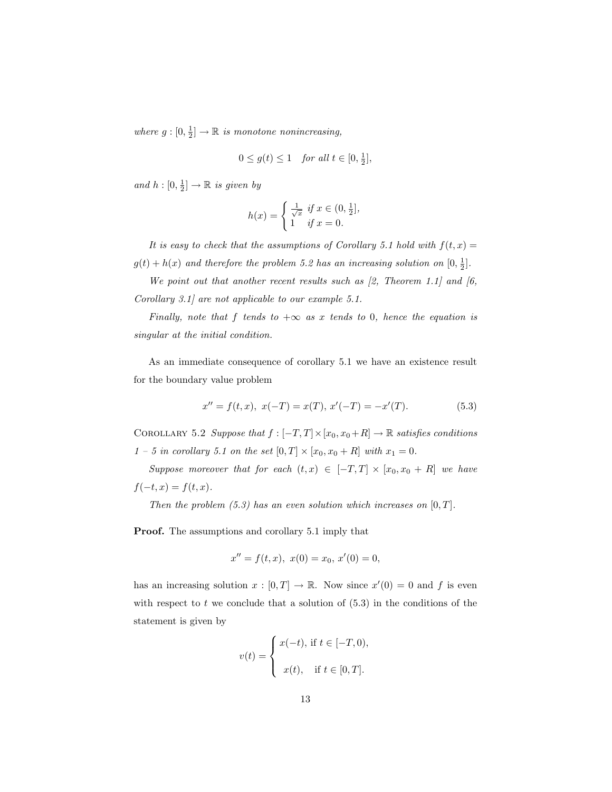where  $g: [0, \frac{1}{2}] \to \mathbb{R}$  is monotone nonincreasing,

$$
0 \le g(t) \le 1 \quad \text{for all } t \in [0, \frac{1}{2}],
$$

and  $h: [0, \frac{1}{2}] \to \mathbb{R}$  is given by

$$
h(x) = \begin{cases} \frac{1}{\sqrt{x}} & \text{if } x \in (0, \frac{1}{2}], \\ 1 & \text{if } x = 0. \end{cases}
$$

It is easy to check that the assumptions of Corollary 5.1 hold with  $f(t, x) =$  $g(t) + h(x)$  and therefore the problem 5.2 has an increasing solution on  $[0, \frac{1}{2}]$ .

We point out that another recent results such as  $[2,$  Theorem 1.1] and  $[6,$ Corollary 3.1] are not applicable to our example 5.1.

Finally, note that f tends to  $+\infty$  as x tends to 0, hence the equation is singular at the initial condition.

As an immediate consequence of corollary 5.1 we have an existence result for the boundary value problem

$$
x'' = f(t, x), \ x(-T) = x(T), \ x'(-T) = -x'(T). \tag{5.3}
$$

COROLLARY 5.2 Suppose that  $f : [-T, T] \times [x_0, x_0 + R] \to \mathbb{R}$  satisfies conditions  $1 - 5$  in corollary 5.1 on the set  $[0, T] \times [x_0, x_0 + R]$  with  $x_1 = 0$ .

Suppose moreover that for each  $(t, x) \in [-T, T] \times [x_0, x_0 + R]$  we have  $f(-t, x) = f(t, x).$ 

Then the problem  $(5.3)$  has an even solution which increases on  $[0, T]$ .

Proof. The assumptions and corollary 5.1 imply that

$$
x'' = f(t, x), \ x(0) = x_0, \ x'(0) = 0,
$$

has an increasing solution  $x : [0, T] \to \mathbb{R}$ . Now since  $x'(0) = 0$  and f is even with respect to  $t$  we conclude that a solution of  $(5.3)$  in the conditions of the statement is given by

$$
v(t) = \begin{cases} x(-t), & \text{if } t \in [-T, 0), \\ x(t), & \text{if } t \in [0, T]. \end{cases}
$$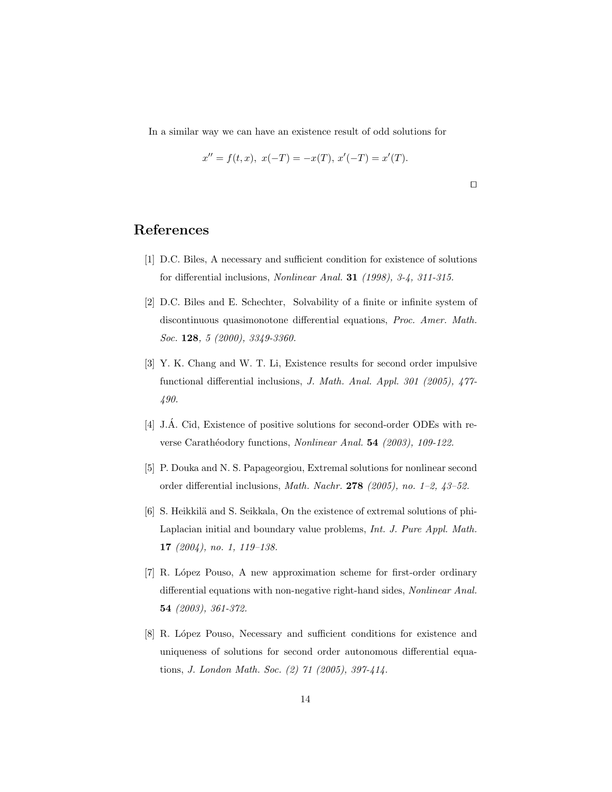In a similar way we can have an existence result of odd solutions for

$$
x'' = f(t, x), \ x(-T) = -x(T), \ x'(-T) = x'(T).
$$

 $\Box$ 

#### References

- [1] D.C. Biles, A necessary and sufficient condition for existence of solutions for differential inclusions, Nonlinear Anal. 31 (1998), 3-4, 311-315.
- [2] D.C. Biles and E. Schechter, Solvability of a finite or infinite system of discontinuous quasimonotone differential equations, Proc. Amer. Math. Soc. **128**, 5 (2000), 3349-3360.
- [3] Y. K. Chang and W. T. Li, Existence results for second order impulsive functional differential inclusions, J. Math. Anal. Appl. 301 (2005), 477- 490.
- [4] J.A. Cid, Existence of positive solutions for second-order ODEs with re- ´ verse Carathéodory functions, Nonlinear Anal. 54 (2003), 109-122.
- [5] P. Douka and N. S. Papageorgiou, Extremal solutions for nonlinear second order differential inclusions, Math. Nachr. 278 (2005), no. 1–2, 43–52.
- [6] S. Heikkilä and S. Seikkala, On the existence of extremal solutions of phi-Laplacian initial and boundary value problems, Int. J. Pure Appl. Math. 17 (2004), no. 1, 119–138.
- [7] R. López Pouso, A new approximation scheme for first-order ordinary differential equations with non-negative right-hand sides, Nonlinear Anal. 54 (2003), 361-372.
- [8] R. L´opez Pouso, Necessary and sufficient conditions for existence and uniqueness of solutions for second order autonomous differential equations, J. London Math. Soc. (2) 71 (2005), 397-414.